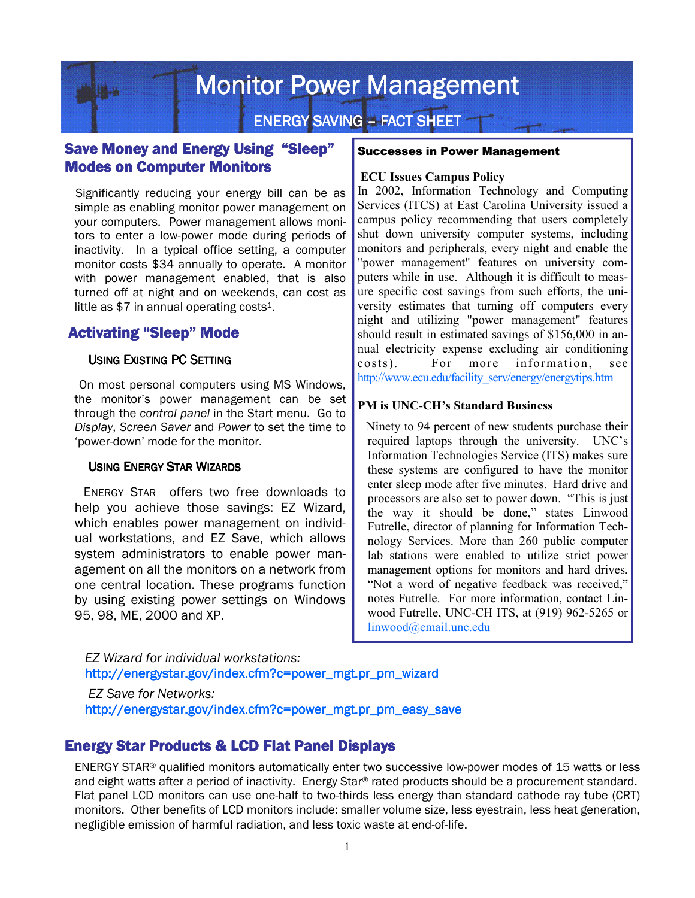# **Monitor Power Management**

**ENERGY SAVING – FACT SHEET** 

## Save Money and Energy Using "Sleep" **Modes on Computer Monitors**

Significantly reducing your energy bill can be as simple as enabling monitor power management on your computers. Power management allows monitors to enter a low-power mode during periods of inactivity. In a typical office setting, a computer monitor costs \$34 annually to operate. A monitor with power management enabled, that is also turned off at night and on weekends, can cost as little as  $$7$  in annual operating costs<sup>1</sup>.

## **Activating "Sleep" Mode**

#### USING EXISTING PC SETTING

On most personal computers using MS Windows, the monitor's power management can be set through the *control panel* in the Start menu. Go to *Display*, *Screen Saver* and *Power* to set the time to 'power-down' mode for the monitor.

#### USING ENERGY STAR WIZARDS

ENERGY STAR offers two free downloads to help you achieve those savings: EZ Wizard, which enables power management on individual workstations, and EZ Save, which allows system administrators to enable power management on all the monitors on a network from one central location. These programs function by using existing power settings on Windows 95, 98, ME, 2000 and XP.

#### Successes in Power Management

#### **ECU Issues Campus Policy**

In 2002, Information Technology and Computing Services (ITCS) at East Carolina University issued a campus policy recommending that users completely shut down university computer systems, including monitors and peripherals, every night and enable the "power management" features on university computers while in use. Although it is difficult to measure specific cost savings from such efforts, the university estimates that turning off computers every night and utilizing "power management" features should result in estimated savings of \$156,000 in annual electricity expense excluding air conditioning costs). For more information, see http://www.ecu.edu/facility\_serv/energy/energytips.htm

#### **PM is UNC-CH's Standard Business**

Ninety to 94 percent of new students purchase their required laptops through the university. UNC's Information Technologies Service (ITS) makes sure these systems are configured to have the monitor enter sleep mode after five minutes. Hard drive and processors are also set to power down. "This is just the way it should be done," states Linwood Futrelle, director of planning for Information Technology Services. More than 260 public computer lab stations were enabled to utilize strict power management options for monitors and hard drives. "Not a word of negative feedback was received," notes Futrelle. For more information, contact Linwood Futrelle, UNC-CH ITS, at (919) 962-5265 or linwood@email.unc.edu

*EZ Wizard for individual workstations:*  http://energystar.gov/index.cfm?c=power\_mgt.pr\_pm\_wizard

*EZ Save for Networks:*  http://energystar.gov/index.cfm?c=power\_mgt.pr\_pm\_easy\_save

## **Energy Star Products & LCD Flat Panel Displays**

ENERGY STAR® qualified monitors automatically enter two successive low-power modes of 15 watts or less and eight watts after a period of inactivity. Energy Star® rated products should be a procurement standard. Flat panel LCD monitors can use one-half to two-thirds less energy than standard cathode ray tube (CRT) monitors. Other benefits of LCD monitors include: smaller volume size, less eyestrain, less heat generation, negligible emission of harmful radiation, and less toxic waste at end-of-life.